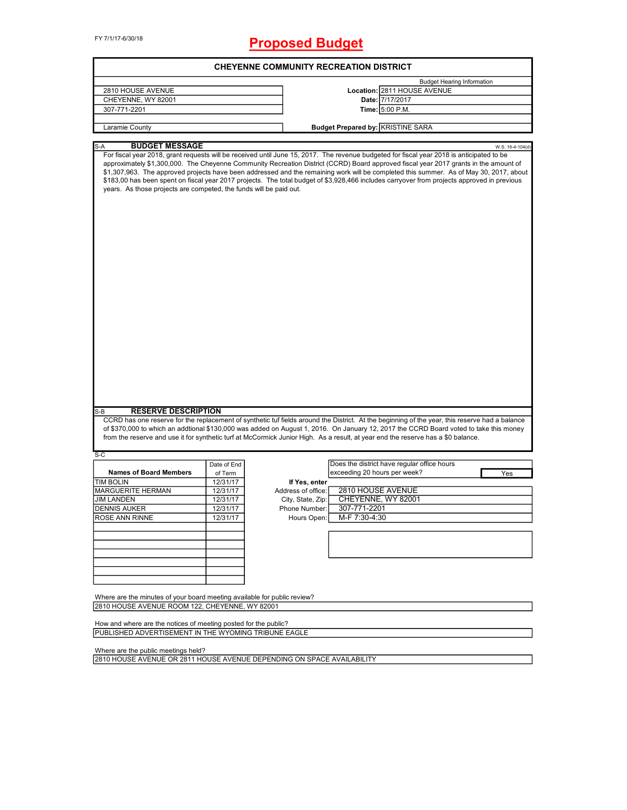FY 7/1/17-6/30/18

# **Proposed Budget**

|                                                                                                                          |             |                    | <b>CHEYENNE COMMUNITY RECREATION DISTRICT</b>                                                                                                                                                                                                                                                                                                                                                                                                                                                                                                                              |                  |
|--------------------------------------------------------------------------------------------------------------------------|-------------|--------------------|----------------------------------------------------------------------------------------------------------------------------------------------------------------------------------------------------------------------------------------------------------------------------------------------------------------------------------------------------------------------------------------------------------------------------------------------------------------------------------------------------------------------------------------------------------------------------|------------------|
|                                                                                                                          |             |                    | <b>Budget Hearing Information</b>                                                                                                                                                                                                                                                                                                                                                                                                                                                                                                                                          |                  |
| 2810 HOUSE AVENUE                                                                                                        |             |                    | Location: 2811 HOUSE AVENUE                                                                                                                                                                                                                                                                                                                                                                                                                                                                                                                                                |                  |
| CHEYENNE, WY 82001                                                                                                       |             |                    | Date: 7/17/2017                                                                                                                                                                                                                                                                                                                                                                                                                                                                                                                                                            |                  |
| 307-771-2201                                                                                                             |             |                    | Time: 5:00 P.M.                                                                                                                                                                                                                                                                                                                                                                                                                                                                                                                                                            |                  |
|                                                                                                                          |             |                    |                                                                                                                                                                                                                                                                                                                                                                                                                                                                                                                                                                            |                  |
| Laramie County                                                                                                           |             |                    | <b>Budget Prepared by: KRISTINE SARA</b>                                                                                                                                                                                                                                                                                                                                                                                                                                                                                                                                   |                  |
| <b>BUDGET MESSAGE</b><br>$S-A$                                                                                           |             |                    |                                                                                                                                                                                                                                                                                                                                                                                                                                                                                                                                                                            | W.S. 16-4-104(d) |
| years. As those projects are competed, the funds will be paid out.                                                       |             |                    | For fiscal year 2018, grant requests will be received until June 15, 2017. The revenue budgeted for fiscal year 2018 is anticipated to be<br>approximately \$1,300,000. The Cheyenne Community Recreation District (CCRD) Board approved fiscal year 2017 grants in the amount of<br>\$1,307,963. The approved projects have been addressed and the remaining work will be completed this summer. As of May 30, 2017, about<br>\$183,00 has been spent on fiscal year 2017 projects. The total budget of \$3,928,466 includes carryover from projects approved in previous |                  |
|                                                                                                                          |             |                    |                                                                                                                                                                                                                                                                                                                                                                                                                                                                                                                                                                            |                  |
|                                                                                                                          |             |                    |                                                                                                                                                                                                                                                                                                                                                                                                                                                                                                                                                                            |                  |
| <b>RESERVE DESCRIPTION</b>                                                                                               |             |                    | CCRD has one reserve for the replacement of synthetic tuf fields around the District. At the beginning of the year, this reserve had a balance<br>of \$370,000 to which an addtional \$130,000 was added on August 1, 2016. On January 12, 2017 the CCRD Board voted to take this money<br>from the reserve and use it for synthetic turf at McCormick Junior High. As a result, at year end the reserve has a \$0 balance.                                                                                                                                                |                  |
|                                                                                                                          |             |                    | Does the district have regular office hours                                                                                                                                                                                                                                                                                                                                                                                                                                                                                                                                |                  |
| <b>Names of Board Members</b>                                                                                            | Date of End |                    | exceeding 20 hours per week?                                                                                                                                                                                                                                                                                                                                                                                                                                                                                                                                               |                  |
|                                                                                                                          | of Term     |                    |                                                                                                                                                                                                                                                                                                                                                                                                                                                                                                                                                                            | Yes              |
|                                                                                                                          | 12/31/17    | If Yes, enter      |                                                                                                                                                                                                                                                                                                                                                                                                                                                                                                                                                                            |                  |
|                                                                                                                          | 12/31/17    | Address of office: | 2810 HOUSE AVENUE                                                                                                                                                                                                                                                                                                                                                                                                                                                                                                                                                          |                  |
|                                                                                                                          | 12/31/17    | City, State, Zip:  | CHEYENNE, WY 82001                                                                                                                                                                                                                                                                                                                                                                                                                                                                                                                                                         |                  |
|                                                                                                                          | 12/31/17    | Phone Number:      | 307-771-2201                                                                                                                                                                                                                                                                                                                                                                                                                                                                                                                                                               |                  |
|                                                                                                                          | 12/31/17    | Hours Open:        | M-F 7:30-4:30                                                                                                                                                                                                                                                                                                                                                                                                                                                                                                                                                              |                  |
|                                                                                                                          |             |                    |                                                                                                                                                                                                                                                                                                                                                                                                                                                                                                                                                                            |                  |
|                                                                                                                          |             |                    |                                                                                                                                                                                                                                                                                                                                                                                                                                                                                                                                                                            |                  |
|                                                                                                                          |             |                    |                                                                                                                                                                                                                                                                                                                                                                                                                                                                                                                                                                            |                  |
|                                                                                                                          |             |                    |                                                                                                                                                                                                                                                                                                                                                                                                                                                                                                                                                                            |                  |
| S-B<br>S-C<br><b>TIM BOLIN</b><br>MARGUERITE HERMAN<br><b>JIM LANDEN</b><br><b>DENNIS AUKER</b><br><b>ROSE ANN RINNE</b> |             |                    |                                                                                                                                                                                                                                                                                                                                                                                                                                                                                                                                                                            |                  |
| Where are the minutes of your board meeting available for public review?                                                 |             |                    |                                                                                                                                                                                                                                                                                                                                                                                                                                                                                                                                                                            |                  |
| 2810 HOUSE AVENUE ROOM 122, CHEYENNE, WY 82001                                                                           |             |                    |                                                                                                                                                                                                                                                                                                                                                                                                                                                                                                                                                                            |                  |

Where are the public meetings held?

2810 HOUSE AVENUE OR 2811 HOUSE AVENUE DEPENDING ON SPACE AVAILABILITY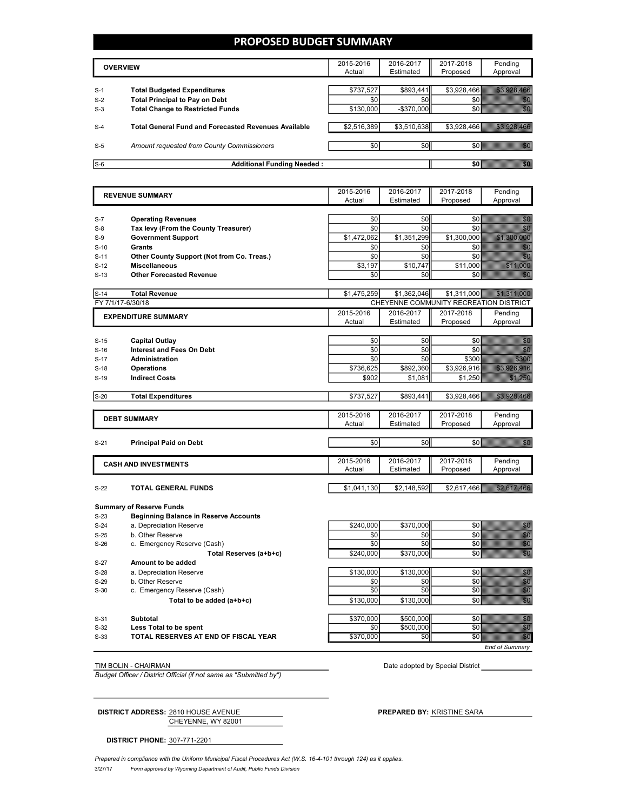### **PROPOSED BUDGET SUMMARY**

| <b>OVERVIEW</b> |                                                                             | 2015-2016<br>Actual | 2016-2017<br>Estimated | 2017-2018<br>Proposed | Pendina<br>Approval |
|-----------------|-----------------------------------------------------------------------------|---------------------|------------------------|-----------------------|---------------------|
|                 |                                                                             |                     |                        |                       |                     |
| $S-1$<br>$S-2$  | <b>Total Budgeted Expenditures</b><br><b>Total Principal to Pay on Debt</b> | \$737,527<br>\$0    | \$893,441<br>\$0       | \$3,928,466           |                     |
| $S-3$           | <b>Total Change to Restricted Funds</b>                                     | \$130,000           | $-$ \$370.000          |                       |                     |
|                 |                                                                             |                     |                        |                       |                     |
| $S-4$           | <b>Total General Fund and Forecasted Revenues Available</b>                 | \$2,516,389         | \$3,510,638            | \$3.928.466           |                     |
| $S-5$           | Amount requested from County Commissioners                                  | \$0                 | \$0                    |                       | SO <b>SOLUTION</b>  |
|                 |                                                                             |                     |                        |                       |                     |
| $S-6$           | <b>Additional Funding Needed:</b>                                           |                     |                        | SO 1                  |                     |

| <b>REVENUE SUMMARY</b> |                                              | 2015-2016   | 2016-2017   | 2017-2018                              | Pending                                                                                                                                                                                                                          |
|------------------------|----------------------------------------------|-------------|-------------|----------------------------------------|----------------------------------------------------------------------------------------------------------------------------------------------------------------------------------------------------------------------------------|
|                        |                                              | Actual      | Estimated   | Proposed                               | Approval                                                                                                                                                                                                                         |
|                        |                                              |             |             |                                        |                                                                                                                                                                                                                                  |
| $S-7$                  | <b>Operating Revenues</b>                    | \$0         | \$0         | \$0                                    | en eller<br>Hans S                                                                                                                                                                                                               |
| $S-8$                  | Tax levy (From the County Treasurer)         | \$0         | \$0         | \$0                                    | en en de la familie de la familie de la familie de la familie de la familie de la familie de la familie de la<br>Constitution de la familie de la familie de la familie de la familie de la familie de la familie de la familie  |
| $S-9$                  | <b>Government Support</b>                    | \$1,472,062 | \$1,351,299 | \$1,300,000                            |                                                                                                                                                                                                                                  |
| $S-10$                 | <b>Grants</b>                                | \$0         | \$0         | \$0                                    | energi<br>Bandala                                                                                                                                                                                                                |
| $S-11$                 | Other County Support (Not from Co. Treas.)   | \$0         | \$0         | \$0                                    | en en de la                                                                                                                                                                                                                      |
| $S-12$                 | <b>Miscellaneous</b>                         | \$3.197     | \$10.747    | \$11,000                               | <u>i ka</u>                                                                                                                                                                                                                      |
| $S-13$                 | <b>Other Forecasted Revenue</b>              | \$0         | \$0         | \$0                                    | gang<br>Manazar                                                                                                                                                                                                                  |
|                        |                                              |             |             |                                        |                                                                                                                                                                                                                                  |
| $S-14$                 | <b>Total Revenue</b>                         | \$1,475,259 | \$1,362,046 | \$1,311,000                            | <u> Karl Karl Stock</u>                                                                                                                                                                                                          |
|                        | FY 7/1/17-6/30/18                            |             |             | CHEYENNE COMMUNITY RECREATION DISTRICT |                                                                                                                                                                                                                                  |
|                        | <b>EXPENDITURE SUMMARY</b>                   | 2015-2016   | 2016-2017   | 2017-2018                              | Pendina                                                                                                                                                                                                                          |
|                        |                                              | Actual      | Estimated   | Proposed                               | Approval                                                                                                                                                                                                                         |
|                        |                                              |             |             |                                        |                                                                                                                                                                                                                                  |
| $S-15$                 | <b>Capital Outlay</b>                        | \$0         | \$0         | \$0                                    | e de la construcción de la construcción de la construcción de la construcción de la construcción de la constru                                                                                                                   |
| $S-16$                 | <b>Interest and Fees On Debt</b>             | \$0         | \$0         | \$0                                    |                                                                                                                                                                                                                                  |
| $S-17$                 | <b>Administration</b>                        | \$0         | \$0         | \$300                                  | <b>STAND</b>                                                                                                                                                                                                                     |
| $S-18$                 | <b>Operations</b>                            | \$736,625   | \$892,360   | \$3,926,916                            |                                                                                                                                                                                                                                  |
| $S-19$                 | <b>Indirect Costs</b>                        | \$902       | \$1,081     | \$1,250                                |                                                                                                                                                                                                                                  |
| $S-20$                 | <b>Total Expenditures</b>                    | \$737,527   | \$893,441   | \$3,928,466                            | <b>BARBARA ARA</b>                                                                                                                                                                                                               |
|                        |                                              | 2015-2016   | 2016-2017   | 2017-2018                              | Pending                                                                                                                                                                                                                          |
|                        | <b>DEBT SUMMARY</b>                          | Actual      | Estimated   | Proposed                               | Approval                                                                                                                                                                                                                         |
|                        |                                              |             |             |                                        |                                                                                                                                                                                                                                  |
| $S-21$                 | <b>Principal Paid on Debt</b>                | \$0         | \$0         | \$0                                    | en eller<br>Maria S                                                                                                                                                                                                              |
|                        |                                              | 2015-2016   | 2016-2017   | 2017-2018                              | Pending                                                                                                                                                                                                                          |
|                        | <b>CASH AND INVESTMENTS</b>                  | Actual      | Estimated   | Proposed                               | Approval                                                                                                                                                                                                                         |
|                        |                                              |             |             |                                        |                                                                                                                                                                                                                                  |
| $S-22$                 | TOTAL GENERAL FUNDS                          | \$1,041,130 | \$2,148,592 | \$2,617,466                            | <u> Kultura (</u>                                                                                                                                                                                                                |
|                        | <b>Summary of Reserve Funds</b>              |             |             |                                        |                                                                                                                                                                                                                                  |
| $S-23$                 | <b>Beginning Balance in Reserve Accounts</b> |             |             |                                        |                                                                                                                                                                                                                                  |
| $S-24$                 | a. Depreciation Reserve                      | \$240,000   | \$370,000   | \$0                                    |                                                                                                                                                                                                                                  |
| $S-25$                 | b. Other Reserve                             | \$0         | \$0         | \$0                                    |                                                                                                                                                                                                                                  |
| $S-26$                 | c. Emergency Reserve (Cash)                  | \$0         | \$0         | \$0                                    | elite<br>Maria<br>Maria Maria<br>Maria                                                                                                                                                                                           |
|                        | Total Reserves (a+b+c)                       | \$240.000   | \$370,000   | \$0                                    | en en de lande en de lande en de lande en de lande en de lande en de lande en de lande en de lande en de lande<br>Eksterne en de lande en de lande en de lande en de lande en de lande en de lande en de lande en de lande en de |

S-27 **Amount to be added** S-28 a. Depreciation Reserve **being the State of the State of State State State State State State State State State State State State State State State State State State State State State State State State State State Stat** S-29 b. Other Reserve \$0 \$0 \$0 \$0 S-30 c. Emergency Reserve (Cash) **Total to be added (a+b+c)**  $$130,000$   $$130,000$   $$130,000$  \$130,000 \$0 S-31 **Subtotal** \$500,000 \$500,000 \$0 <mark>\$6</mark> **Less Total to be spent being the spent beautiful solution \$0** \$500,000 \$0 \$0 S-33 **TOTAL RESERVES AT END OF FISCAL YEAR** \$370,000 \$0 \$0 \$0

*End of Summary*

*Budget Officer / District Official (if not same as "Submitted by")*

TIM BOLIN - CHAIRMAN Date adopted by Special District

CHEYENNE, WY 82001 **DISTRICT ADDRESS:** 2810 HOUSE AVENUE **PREPARED BY:** KRISTINE SARA

**DISTRICT PHONE:** 307-771-2201

3/27/17 *Form approved by Wyoming Department of Audit, Public Funds Division* Prepared in compliance with the Uniform Municipal Fiscal Procedures Act (W.S. 16-4-101 through 124) as it applies.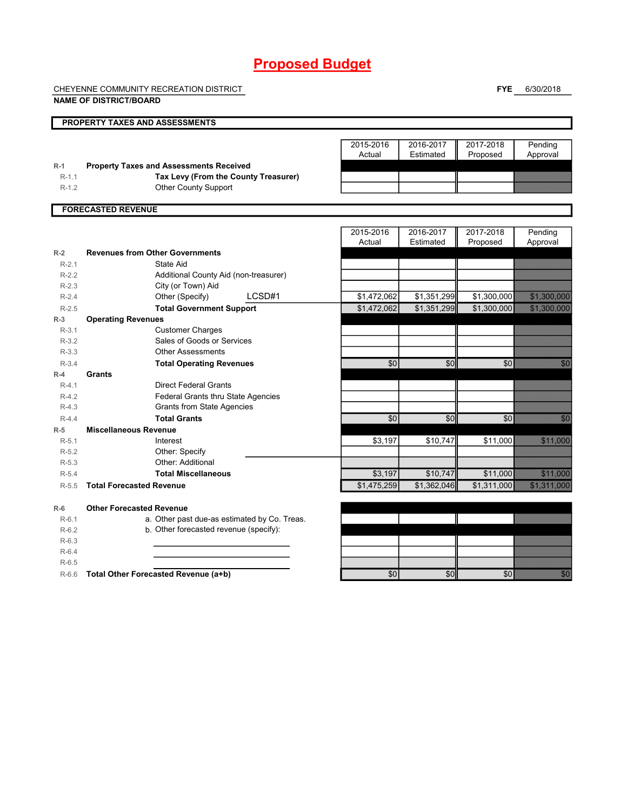# **Proposed Budget**

CHEYENNE COMMUNITY RECREATION DISTRICT

**NAME OF DISTRICT/BOARD**

**FYE** 6/30/2018

|                    | <b>PROPERTY TAXES AND ASSESSMENTS</b>                                                  |             |                 |                |                                                                                                                                                                                                                                 |
|--------------------|----------------------------------------------------------------------------------------|-------------|-----------------|----------------|---------------------------------------------------------------------------------------------------------------------------------------------------------------------------------------------------------------------------------|
|                    |                                                                                        |             |                 |                |                                                                                                                                                                                                                                 |
|                    |                                                                                        | 2015-2016   | 2016-2017       | 2017-2018      | Pending                                                                                                                                                                                                                         |
|                    |                                                                                        | Actual      | Estimated       | Proposed       | Approval                                                                                                                                                                                                                        |
| $R-1$<br>$R-1.1$   | <b>Property Taxes and Assessments Received</b><br>Tax Levy (From the County Treasurer) |             |                 |                |                                                                                                                                                                                                                                 |
| $R-1.2$            | <b>Other County Support</b>                                                            |             |                 |                |                                                                                                                                                                                                                                 |
|                    |                                                                                        |             |                 |                |                                                                                                                                                                                                                                 |
|                    | <b>FORECASTED REVENUE</b>                                                              |             |                 |                |                                                                                                                                                                                                                                 |
|                    |                                                                                        |             |                 |                |                                                                                                                                                                                                                                 |
|                    |                                                                                        | 2015-2016   | 2016-2017       | 2017-2018      | Pending                                                                                                                                                                                                                         |
|                    |                                                                                        | Actual      | Estimated       | Proposed       | Approval                                                                                                                                                                                                                        |
| $R-2$              | <b>Revenues from Other Governments</b>                                                 |             |                 |                |                                                                                                                                                                                                                                 |
| $R-2.1$            | State Aid                                                                              |             |                 |                |                                                                                                                                                                                                                                 |
| $R-2.2$            | Additional County Aid (non-treasurer)                                                  |             |                 |                |                                                                                                                                                                                                                                 |
| $R-2.3$            | City (or Town) Aid                                                                     |             |                 |                |                                                                                                                                                                                                                                 |
| $R-2.4$            | Other (Specify)<br>LCSD#1                                                              | \$1,472,062 | \$1,351,299     | \$1,300,000    |                                                                                                                                                                                                                                 |
| $R-2.5$            | <b>Total Government Support</b>                                                        | \$1,472,062 | \$1,351,299     | \$1,300,000    | <u>saman ma</u>                                                                                                                                                                                                                 |
| $R-3$              | <b>Operating Revenues</b>                                                              |             |                 |                |                                                                                                                                                                                                                                 |
| $R-3.1$            | <b>Customer Charges</b>                                                                |             |                 |                |                                                                                                                                                                                                                                 |
| $R-3.2$            | Sales of Goods or Services                                                             |             |                 |                |                                                                                                                                                                                                                                 |
| $R-3.3$            | <b>Other Assessments</b>                                                               |             |                 |                |                                                                                                                                                                                                                                 |
| $R-3.4$            | <b>Total Operating Revenues</b>                                                        | \$0         | $\overline{50}$ | \$0            | <b>BAR</b>                                                                                                                                                                                                                      |
| $R-4$              | Grants                                                                                 |             |                 |                |                                                                                                                                                                                                                                 |
| $R-4.1$            | <b>Direct Federal Grants</b>                                                           |             |                 |                |                                                                                                                                                                                                                                 |
| $R-4.2$            | Federal Grants thru State Agencies                                                     |             |                 |                |                                                                                                                                                                                                                                 |
| $R-4.3$            | <b>Grants from State Agencies</b>                                                      |             |                 |                |                                                                                                                                                                                                                                 |
| $R-4.4$            | <b>Total Grants</b>                                                                    | \$0         | \$0             | $\frac{6}{50}$ | en en de la familie de la familie de la familie de la familie de la familie de la familie de la familie de la<br>Constitution de la familie de la familie de la familie de la familie de la familie de la familie de la familie |
| $R-5$              | <b>Miscellaneous Revenue</b>                                                           |             |                 |                |                                                                                                                                                                                                                                 |
| $R-5.1$            | Interest                                                                               | \$3,197     | \$10,747        | \$11,000       | 52. 333                                                                                                                                                                                                                         |
| $R-5.2$<br>$R-5.3$ | Other: Specify<br>Other: Additional                                                    |             |                 |                |                                                                                                                                                                                                                                 |
|                    | <b>Total Miscellaneous</b>                                                             |             | \$10.747        | \$11.000       |                                                                                                                                                                                                                                 |
| $R-5.4$            | <b>Total Forecasted Revenue</b>                                                        | \$3,197     |                 | \$1,311,000    | <b>BARBOOK</b>                                                                                                                                                                                                                  |
| $R-5.5$            |                                                                                        | \$1,475,259 | \$1,362,046     |                | <u>Starting of the Starting of the Starting of the Starting of the Starting of the Starting of the Starting of th</u>                                                                                                           |
| $R-6$              | <b>Other Forecasted Revenue</b>                                                        |             |                 |                |                                                                                                                                                                                                                                 |
| $R-6.1$            | a. Other past due-as estimated by Co. Treas.                                           |             |                 |                |                                                                                                                                                                                                                                 |
| $R-6.2$            | b. Other forecasted revenue (specify):                                                 |             |                 |                |                                                                                                                                                                                                                                 |
| $R-6.3$            |                                                                                        |             |                 |                |                                                                                                                                                                                                                                 |
| $R-6.4$            |                                                                                        |             |                 |                |                                                                                                                                                                                                                                 |
| $R-6.5$            |                                                                                        |             |                 |                |                                                                                                                                                                                                                                 |
| $R-6.6$            | Total Other Forecasted Revenue (a+b)                                                   | \$0         | \$0             | \$0            | <b>BAR</b>                                                                                                                                                                                                                      |
|                    |                                                                                        |             |                 |                |                                                                                                                                                                                                                                 |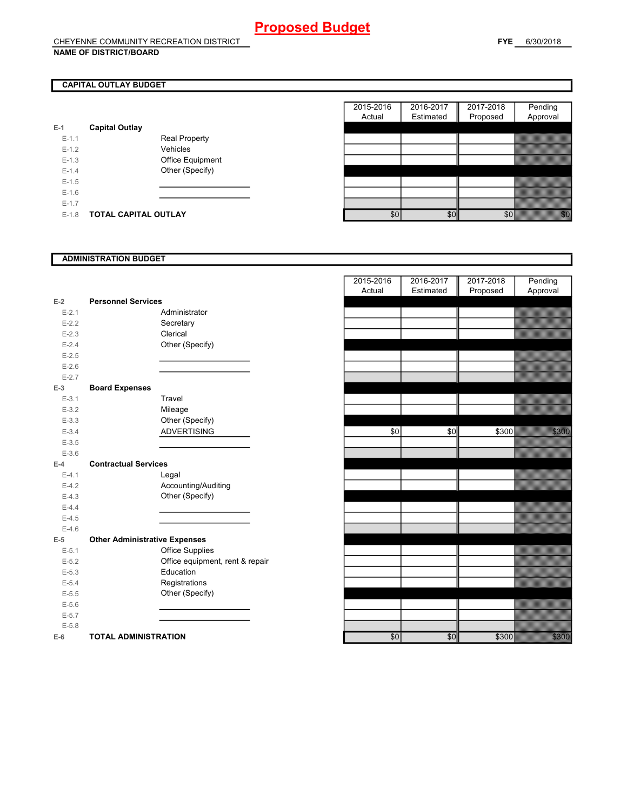### **CAPITAL OUTLAY BUDGET**

| E-1       | <b>Capital Outlay</b> |                         |
|-----------|-----------------------|-------------------------|
| $E - 1.1$ |                       | <b>Real Property</b>    |
| $F-12$    |                       | Vehicles                |
| $F-1.3$   |                       | <b>Office Equipment</b> |
| $F-14$    |                       | Other (Specify)         |
| $F-1.5$   |                       |                         |
| $F-16$    |                       |                         |
| $F-17$    |                       |                         |
| $F-1.8$   | TOTAL CAPITAL OUTLAY  |                         |

|         |                       |                      | 2015-2016 | 2016-2017 | 2017-2018 | Pending                                                                                                                                                                                                                         |
|---------|-----------------------|----------------------|-----------|-----------|-----------|---------------------------------------------------------------------------------------------------------------------------------------------------------------------------------------------------------------------------------|
|         |                       |                      | Actual    | Estimated | Proposed  | Approval                                                                                                                                                                                                                        |
|         | <b>Capital Outlay</b> |                      |           |           |           |                                                                                                                                                                                                                                 |
| $E-1.1$ |                       | <b>Real Property</b> |           |           |           |                                                                                                                                                                                                                                 |
| $E-1.2$ |                       | Vehicles             |           |           |           |                                                                                                                                                                                                                                 |
| $E-1.3$ |                       | Office Equipment     |           |           |           |                                                                                                                                                                                                                                 |
| $E-1.4$ |                       | Other (Specify)      |           |           |           |                                                                                                                                                                                                                                 |
| $E-1.5$ |                       |                      |           |           |           |                                                                                                                                                                                                                                 |
| $E-1.6$ |                       |                      |           |           |           |                                                                                                                                                                                                                                 |
| $E-1.7$ |                       |                      |           |           |           |                                                                                                                                                                                                                                 |
| $E-1.8$ | TOTAL CAPITAL OUTLAY  |                      | \$0       | \$0       | \$0       | en de la posta de la posta de la posta de la posta de la posta de la posta de la posta de la posta de la posta<br>En la posta de la posta de la posta de la posta de la posta de la posta de la posta de la posta de la posta d |

#### **ADMINISTRATION BUDGET**

| $E-2$     | <b>Personnel Services</b>            |                                 |
|-----------|--------------------------------------|---------------------------------|
| $E - 2.1$ |                                      | Administrator                   |
| $E - 2.2$ |                                      | Secretary                       |
| $E - 2.3$ |                                      | Clerical                        |
| $E - 2.4$ |                                      | Other (Specify)                 |
| $E - 2.5$ |                                      |                                 |
| $E-2.6$   |                                      |                                 |
| $E - 2.7$ |                                      |                                 |
| $E-3$     | <b>Board Expenses</b>                |                                 |
| $E - 3.1$ |                                      | Travel                          |
| $E - 3.2$ |                                      | Mileage                         |
| $E - 3.3$ |                                      | Other (Specify)                 |
| $E - 3.4$ |                                      | <b>ADVERTISING</b>              |
| $E - 3.5$ |                                      |                                 |
| $E - 3.6$ |                                      |                                 |
| $E-4$     | <b>Contractual Services</b>          |                                 |
| $E - 4.1$ |                                      | Legal                           |
| $E-4.2$   |                                      | Accounting/Auditing             |
| $E-4.3$   |                                      | Other (Specify)                 |
| $E - 4.4$ |                                      |                                 |
| $E-4.5$   |                                      |                                 |
| $E-4.6$   |                                      |                                 |
| $E-5$     | <b>Other Administrative Expenses</b> |                                 |
| $E - 5.1$ |                                      | <b>Office Supplies</b>          |
| $E - 5.2$ |                                      | Office equipment, rent & repair |
| $E - 5.3$ |                                      | Education                       |
| $E - 5.4$ |                                      | Registrations                   |
| $E - 5.5$ |                                      | Other (Specify)                 |
| $E - 5.6$ |                                      |                                 |
| $E - 5.7$ |                                      |                                 |
| $E - 5.8$ |                                      |                                 |
| E-6       | <b>TOTAL ADMINISTRATION</b>          |                                 |

|                        | <b>Personnel Services</b>            |                                       | 2015-2016<br>Actual | 2016-2017<br>Estimated | 2017-2018<br>Proposed | Pending<br>Approval |
|------------------------|--------------------------------------|---------------------------------------|---------------------|------------------------|-----------------------|---------------------|
| $E-2$                  |                                      | Administrator                         |                     |                        |                       |                     |
| $E - 2.1$<br>$E - 2.2$ |                                      |                                       |                     |                        |                       |                     |
|                        |                                      | Secretary                             |                     |                        |                       |                     |
| $E - 2.3$              |                                      | Clerical                              |                     |                        |                       |                     |
| $E - 2.4$              |                                      | Other (Specify)                       |                     |                        |                       |                     |
| $E - 2.5$              |                                      |                                       |                     |                        |                       |                     |
| $E-2.6$                |                                      |                                       |                     |                        |                       |                     |
| $E-2.7$                |                                      |                                       |                     |                        |                       |                     |
| $E-3$                  | <b>Board Expenses</b>                | Travel                                |                     |                        |                       |                     |
| $E-3.1$<br>$E - 3.2$   |                                      |                                       |                     |                        |                       |                     |
|                        |                                      | Mileage                               |                     |                        |                       |                     |
| $E - 3.3$<br>$E - 3.4$ |                                      | Other (Specify)<br><b>ADVERTISING</b> | \$0                 | \$0                    | \$300                 |                     |
| $E - 3.5$              |                                      |                                       |                     |                        |                       |                     |
| $E - 3.6$              |                                      |                                       |                     |                        |                       |                     |
| $E-4$                  | <b>Contractual Services</b>          |                                       |                     |                        |                       |                     |
| $E - 4.1$              |                                      | Legal                                 |                     |                        |                       |                     |
| $E-4.2$                |                                      | Accounting/Auditing                   |                     |                        |                       |                     |
| $E - 4.3$              |                                      | Other (Specify)                       |                     |                        |                       |                     |
| $E-4.4$                |                                      |                                       |                     |                        |                       |                     |
| $E-4.5$                |                                      |                                       |                     |                        |                       |                     |
| $E-4.6$                |                                      |                                       |                     |                        |                       |                     |
| $E-5$                  | <b>Other Administrative Expenses</b> |                                       |                     |                        |                       |                     |
| $E-5.1$                |                                      | <b>Office Supplies</b>                |                     |                        |                       |                     |
| $E - 5.2$              |                                      | Office equipment, rent & repair       |                     |                        |                       |                     |
| $E - 5.3$              |                                      | Education                             |                     |                        |                       |                     |
| $E - 5.4$              |                                      | Registrations                         |                     |                        |                       |                     |
| $E - 5.5$              |                                      | Other (Specify)                       |                     |                        |                       |                     |
| $E - 5.6$              |                                      |                                       |                     |                        |                       |                     |
| $E - 5.7$              |                                      |                                       |                     |                        |                       |                     |
| $E - 5.8$              |                                      |                                       |                     |                        |                       |                     |
| $E-6$                  | <b>TOTAL ADMINISTRATION</b>          |                                       | \$0                 | \$0                    | \$300                 | 3333                |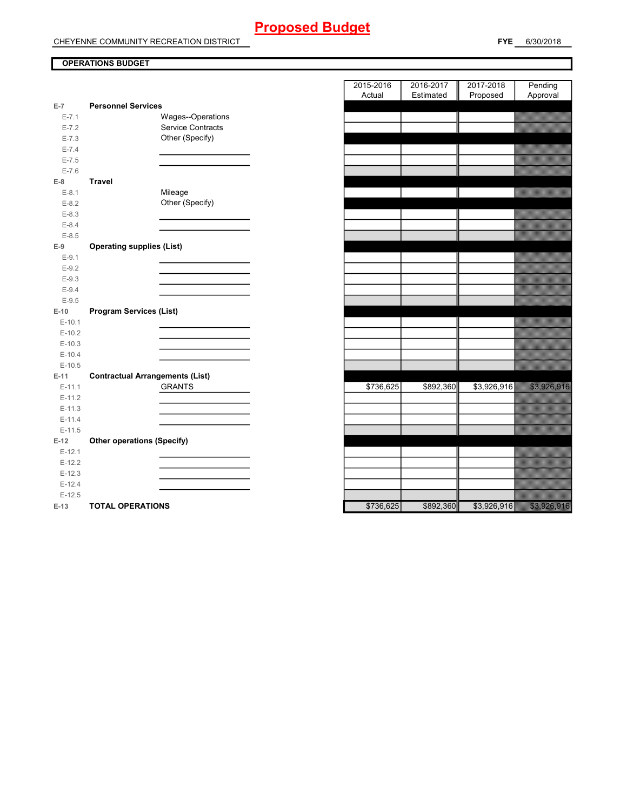# **Proposed Budget**

CHEYENNE COMMUNITY RECREATION DISTRICT

**FYE** 6/30/2018

### **OPERATIONS BUDGET**

|           |                                        | Auuai     | Estimated | <b>FIUPUSEU</b> | <b>Apploval</b>   |
|-----------|----------------------------------------|-----------|-----------|-----------------|-------------------|
| $E-7$     | <b>Personnel Services</b>              |           |           |                 |                   |
| $E - 7.1$ | Wages--Operations                      |           |           |                 |                   |
| $E - 7.2$ | Service Contracts                      |           |           |                 |                   |
| $E - 7.3$ | Other (Specify)                        |           |           |                 |                   |
| $E - 7.4$ |                                        |           |           |                 |                   |
| $E - 7.5$ |                                        |           |           |                 |                   |
| $E - 7.6$ |                                        |           |           |                 |                   |
| $E-8$     | <b>Travel</b>                          |           |           |                 |                   |
| $E-8.1$   | Mileage                                |           |           |                 |                   |
| $E-8.2$   | Other (Specify)                        |           |           |                 |                   |
| $E - 8.3$ |                                        |           |           |                 |                   |
| $E - 8.4$ |                                        |           |           |                 |                   |
| $E - 8.5$ |                                        |           |           |                 |                   |
| $E-9$     | <b>Operating supplies (List)</b>       |           |           |                 |                   |
| $E-9.1$   |                                        |           |           |                 |                   |
| $E-9.2$   |                                        |           |           |                 |                   |
| $E-9.3$   |                                        |           |           |                 |                   |
| $E-9.4$   |                                        |           |           |                 |                   |
| $E-9.5$   |                                        |           |           |                 |                   |
| $E-10$    | <b>Program Services (List)</b>         |           |           |                 |                   |
| $E-10.1$  |                                        |           |           |                 |                   |
| $E-10.2$  |                                        |           |           |                 |                   |
| $E-10.3$  |                                        |           |           |                 |                   |
| $E-10.4$  |                                        |           |           |                 |                   |
| $E-10.5$  |                                        |           |           |                 |                   |
| $E-11$    | <b>Contractual Arrangements (List)</b> |           |           |                 |                   |
| $E-11.1$  | <b>GRANTS</b>                          | \$736,625 | \$892,360 | \$3,926,916     |                   |
| $E-11.2$  |                                        |           |           |                 |                   |
| $E-11.3$  |                                        |           |           |                 |                   |
| $E-11.4$  |                                        |           |           |                 |                   |
| $E-11.5$  |                                        |           |           |                 |                   |
| $E-12$    | <b>Other operations (Specify)</b>      |           |           |                 |                   |
| $E-12.1$  |                                        |           |           |                 |                   |
| $E-12.2$  |                                        |           |           |                 |                   |
| $E-12.3$  |                                        |           |           |                 |                   |
| $E-12.4$  |                                        |           |           |                 |                   |
| $E-12.5$  |                                        |           |           |                 |                   |
| $E-13$    | <b>TOTAL OPERATIONS</b>                | \$736,625 | \$892,360 | \$3,926,916     | <u> Karl Sara</u> |

|                        |                                               | 2015-2016 |           | 2016-2017 | 2017-2018   | Pending                                                                                                               |
|------------------------|-----------------------------------------------|-----------|-----------|-----------|-------------|-----------------------------------------------------------------------------------------------------------------------|
|                        | <b>Personnel Services</b>                     | Actual    |           | Estimated | Proposed    | Approval                                                                                                              |
| $\overline{7}$         |                                               |           |           |           |             |                                                                                                                       |
| $E - 7.1$<br>$E - 7.2$ | Wages--Operations<br><b>Service Contracts</b> |           |           |           |             |                                                                                                                       |
| $E - 7.3$              | Other (Specify)                               |           |           |           |             |                                                                                                                       |
| $E - 7.4$              |                                               |           |           |           |             |                                                                                                                       |
| $E - 7.5$              |                                               |           |           |           |             |                                                                                                                       |
| $E - 7.6$              |                                               |           |           |           |             |                                                                                                                       |
| 8                      | <b>Travel</b>                                 |           |           |           |             |                                                                                                                       |
| $E-8.1$                | Mileage                                       |           |           |           |             | <u> Elizabeth Charles (Charles Charles Charles Charles Charles Charles Charles Charles Charles Charles Charles Ch</u> |
| $E-8.2$                | Other (Specify)                               |           |           |           |             |                                                                                                                       |
| $E - 8.3$              |                                               |           |           |           |             |                                                                                                                       |
| $E-8.4$                |                                               |           |           |           |             |                                                                                                                       |
| $E-8.5$                |                                               |           |           |           |             |                                                                                                                       |
| 9                      | <b>Operating supplies (List)</b>              |           |           |           |             |                                                                                                                       |
| $E-9.1$                |                                               |           |           |           |             |                                                                                                                       |
| $E-9.2$                |                                               |           |           |           |             |                                                                                                                       |
| $E-9.3$                |                                               |           |           |           |             |                                                                                                                       |
| $E-9.4$                |                                               |           |           |           |             |                                                                                                                       |
| $E - 9.5$              |                                               |           |           |           |             |                                                                                                                       |
| $-10$                  | <b>Program Services (List)</b>                |           |           |           |             |                                                                                                                       |
| $E-10.1$               |                                               |           |           |           |             |                                                                                                                       |
| $E-10.2$               |                                               |           |           |           |             |                                                                                                                       |
| $E-10.3$               |                                               |           |           |           |             |                                                                                                                       |
| $E-10.4$               |                                               |           |           |           |             |                                                                                                                       |
| $E-10.5$               |                                               |           |           |           |             |                                                                                                                       |
| 11                     | <b>Contractual Arrangements (List)</b>        |           |           |           |             |                                                                                                                       |
| $E-11.1$               | <b>GRANTS</b>                                 |           | \$736,625 | \$892,360 | \$3,926,916 | <b>Service State</b>                                                                                                  |
| $E-11.2$               |                                               |           |           |           |             |                                                                                                                       |
| $E-11.3$               |                                               |           |           |           |             |                                                                                                                       |
| $E-11.4$               |                                               |           |           |           |             |                                                                                                                       |
| $E-11.5$               |                                               |           |           |           |             |                                                                                                                       |
| 12                     | <b>Other operations (Specify)</b>             |           |           |           |             |                                                                                                                       |
| $E-12.1$               |                                               |           |           |           |             |                                                                                                                       |
| $E-12.2$               |                                               |           |           |           |             |                                                                                                                       |
| $E-12.3$               |                                               |           |           |           |             |                                                                                                                       |
| $E-12.4$               |                                               |           |           |           |             |                                                                                                                       |
| $E-12.5$               |                                               |           |           |           |             |                                                                                                                       |
| $-13$                  | <b>TOTAL OPERATIONS</b>                       |           | \$736.625 | \$892,360 |             | \$3,926,916                                                                                                           |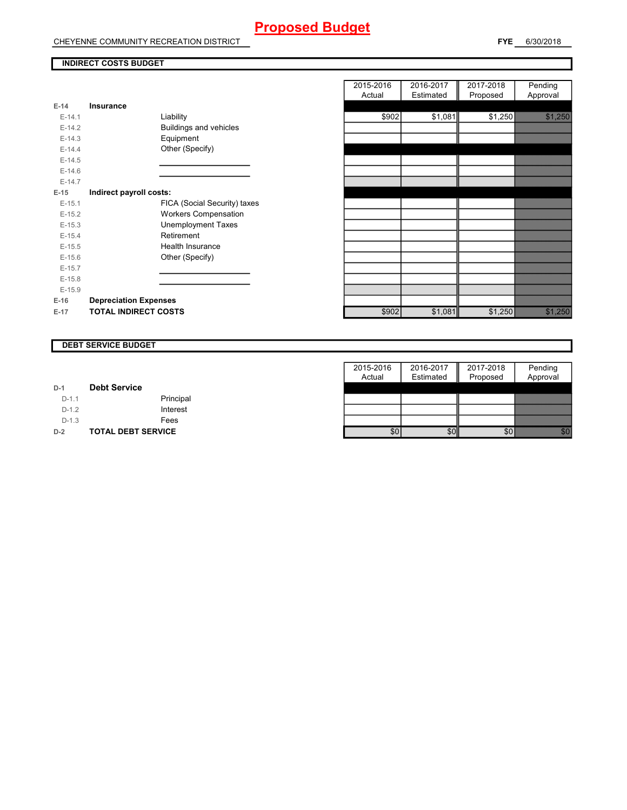# **Proposed Budget**

CHEYENNE COMMUNITY RECREATION DISTRICT

#### **INDIRECT COSTS BUDGET**

| $E-14$   | Insurance                     |
|----------|-------------------------------|
| $F-14.1$ | Liability                     |
| $F-142$  | <b>Buildings and vehicles</b> |
| $E-14.3$ | Equipment                     |
| $F-144$  | Other (Specify)               |
| $E-14.5$ |                               |
| $E-14.6$ |                               |
| $F-147$  |                               |
| E-15     | Indirect payroll costs:       |
| $E-15.1$ | FICA (Social Security) taxes  |
| $E-15.2$ | <b>Workers Compensation</b>   |
| $E-15.3$ | <b>Unemployment Taxes</b>     |
| $E-15.4$ | Retirement                    |
| $E-15.5$ | Health Insurance              |
| $F-156$  | Other (Specify)               |
| $E-15.7$ |                               |
| $E-15.8$ |                               |
| $E-15.9$ |                               |
| $E-16$   | <b>Depreciation Expenses</b>  |
| $E-17$   | <b>TOTAL INDIRECT COSTS</b>   |

|          |                               | 2015-2016 | 2016-2017 | 2017-2018 | Pending  |
|----------|-------------------------------|-----------|-----------|-----------|----------|
|          |                               | Actual    | Estimated | Proposed  | Approval |
| $E-14$   | <b>Insurance</b>              |           |           |           |          |
| $E-14.1$ | Liability                     | \$902     | \$1,081   | \$1,250   |          |
| $E-14.2$ | <b>Buildings and vehicles</b> |           |           |           |          |
| $E-14.3$ | Equipment                     |           |           |           |          |
| $E-14.4$ | Other (Specify)               |           |           |           |          |
| $E-14.5$ |                               |           |           |           |          |
| $E-14.6$ |                               |           |           |           |          |
| $E-14.7$ |                               |           |           |           |          |
| $E-15$   | Indirect payroll costs:       |           |           |           |          |
| $E-15.1$ | FICA (Social Security) taxes  |           |           |           |          |
| $E-15.2$ | <b>Workers Compensation</b>   |           |           |           |          |
| $E-15.3$ | <b>Unemployment Taxes</b>     |           |           |           |          |
| $E-15.4$ | Retirement                    |           |           |           |          |
| $E-15.5$ | Health Insurance              |           |           |           |          |
| $E-15.6$ | Other (Specify)               |           |           |           |          |
| $E-15.7$ |                               |           |           |           |          |
| $E-15.8$ |                               |           |           |           |          |
| $E-15.9$ |                               |           |           |           |          |
| $E-16$   | <b>Depreciation Expenses</b>  |           |           |           |          |
| E-17     | <b>TOTAL INDIRECT COSTS</b>   | \$902     | \$1,081   | \$1,250   |          |
|          |                               |           |           |           |          |

#### **DEBT SERVICE BUDGET**

|         |                           | 2015-2016 | 2016-2017 | 2017-2018 | Pending  |
|---------|---------------------------|-----------|-----------|-----------|----------|
|         |                           | Actual    | Estimated | Proposed  | Approval |
| $D-1$   | <b>Debt Service</b>       |           |           |           |          |
| $D-1.1$ | Principal                 |           |           |           |          |
| $D-1.2$ | Interest                  |           |           |           |          |
| $D-1.3$ | Fees                      |           |           |           |          |
| $D-2$   | <b>TOTAL DEBT SERVICE</b> | \$0       | \$0       |           |          |